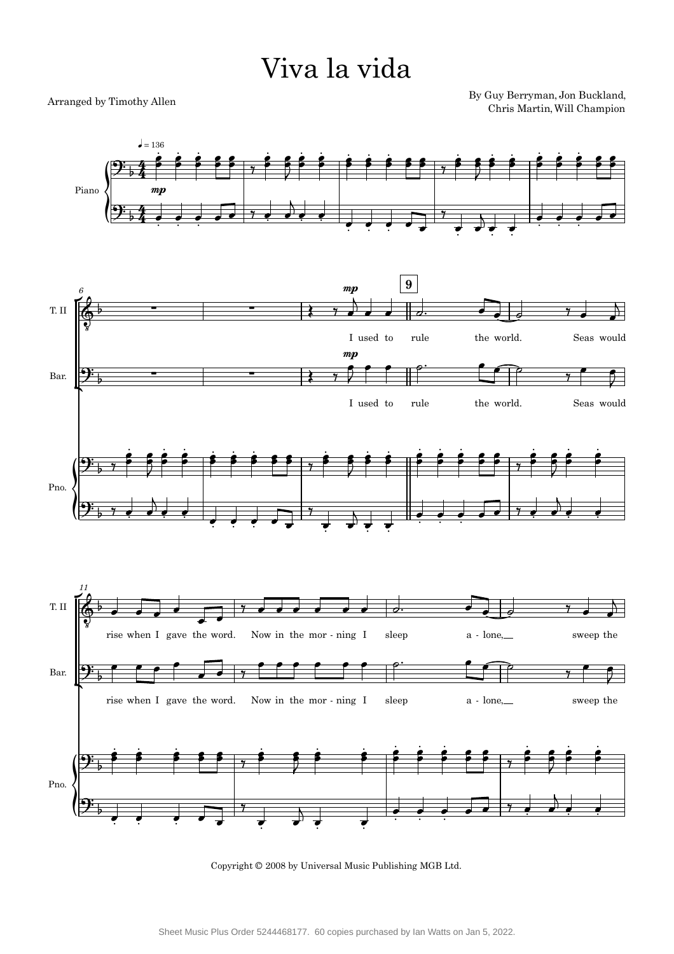## Viva la vida

By Guy Berryman, Jon Buckland, Arranged by Timothy Allen<br>Chris Martin, Will Champion Chris Martin, Will Champion



Copyright © 2008 by Universal Music Publishing MGB Ltd.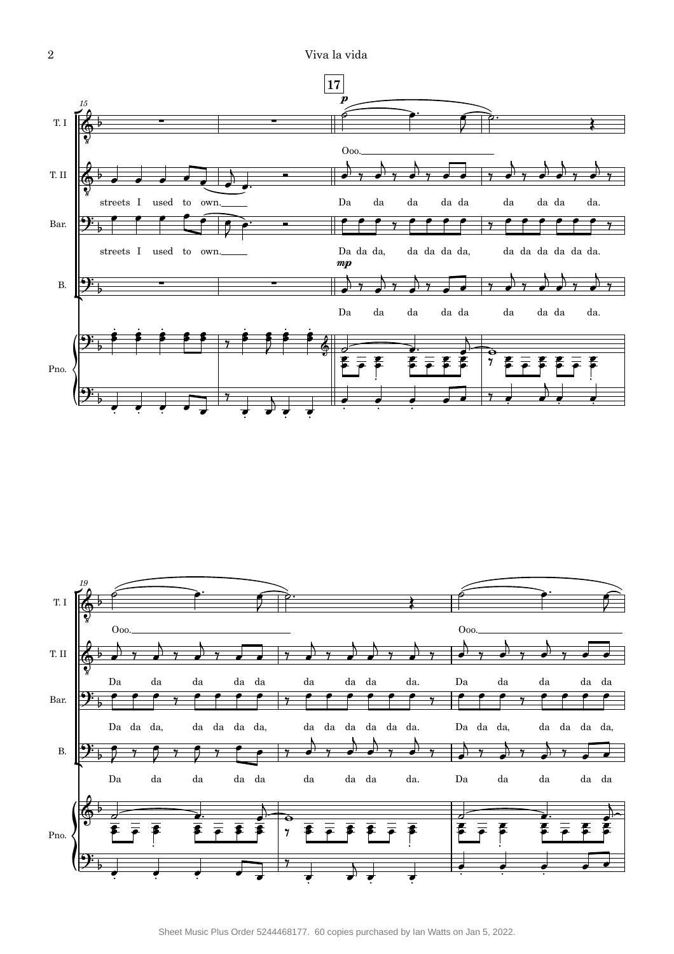

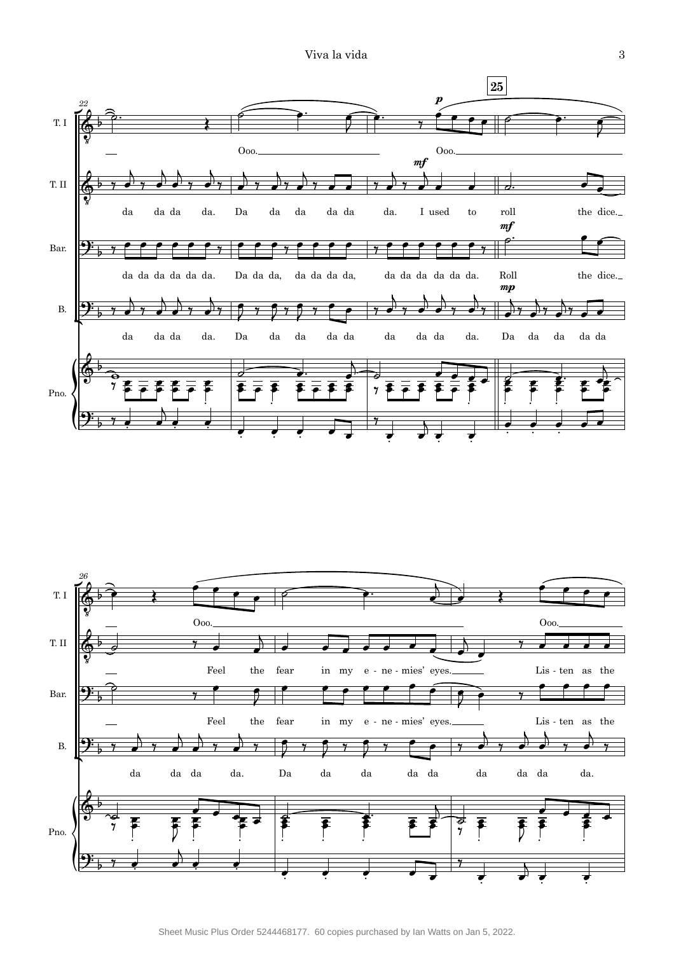

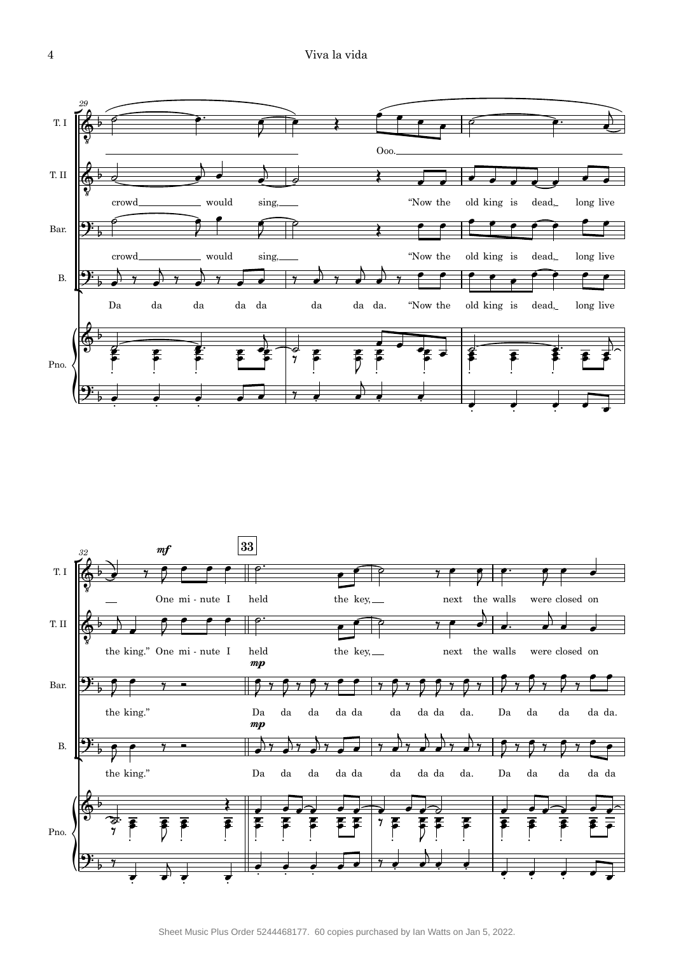## 4 Viva la vida



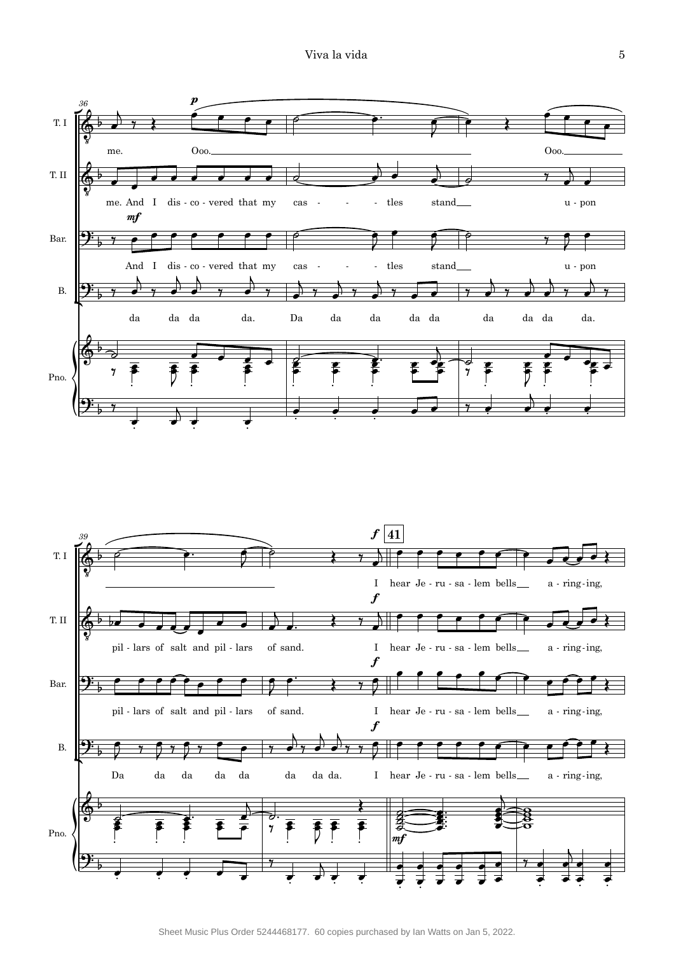

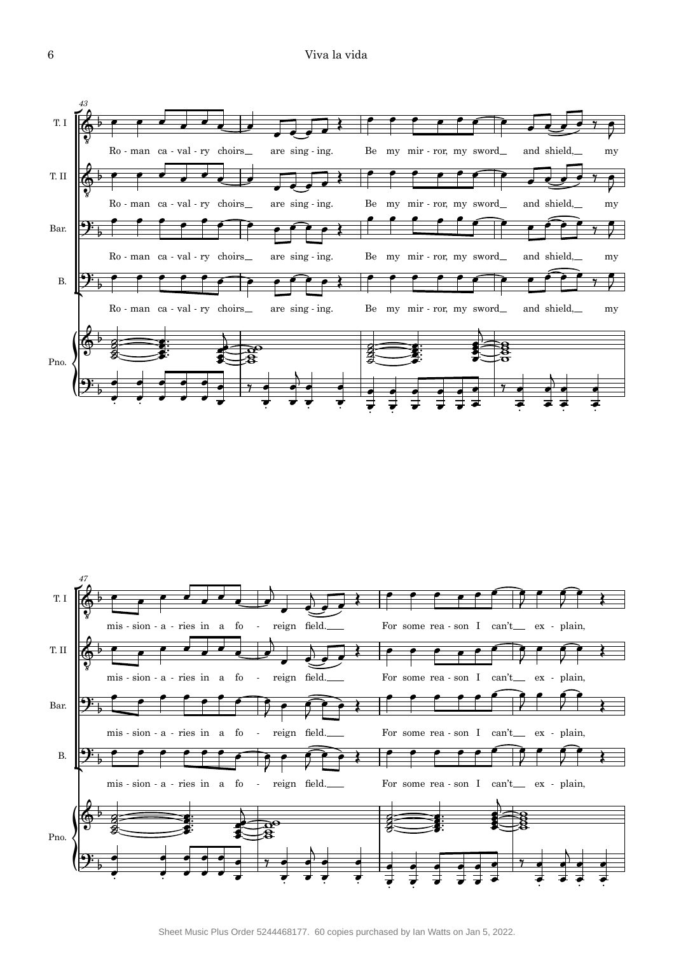## 6 Viva la vida



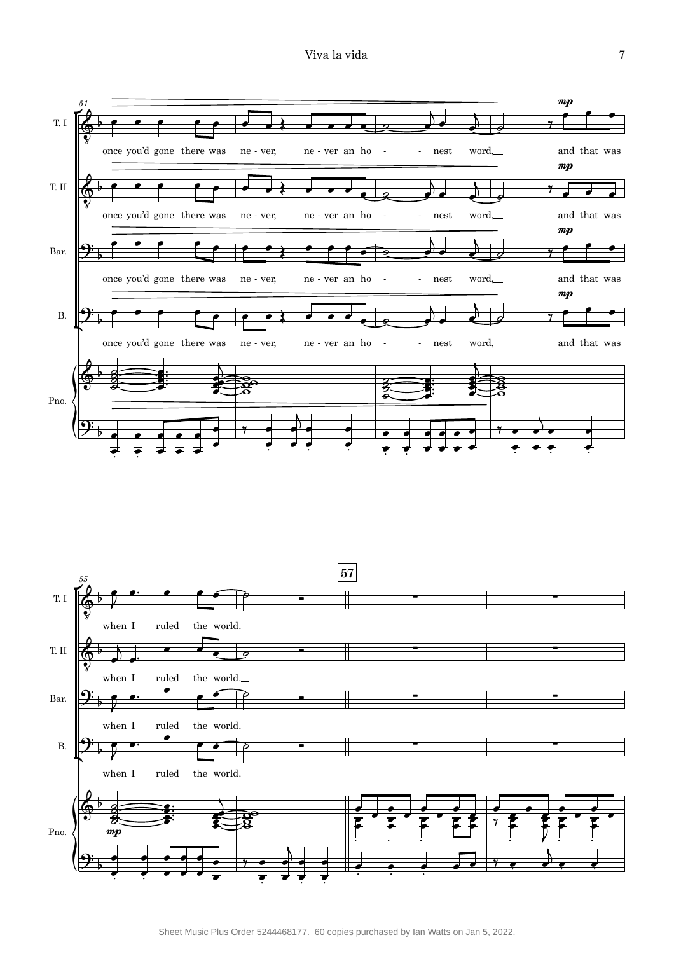

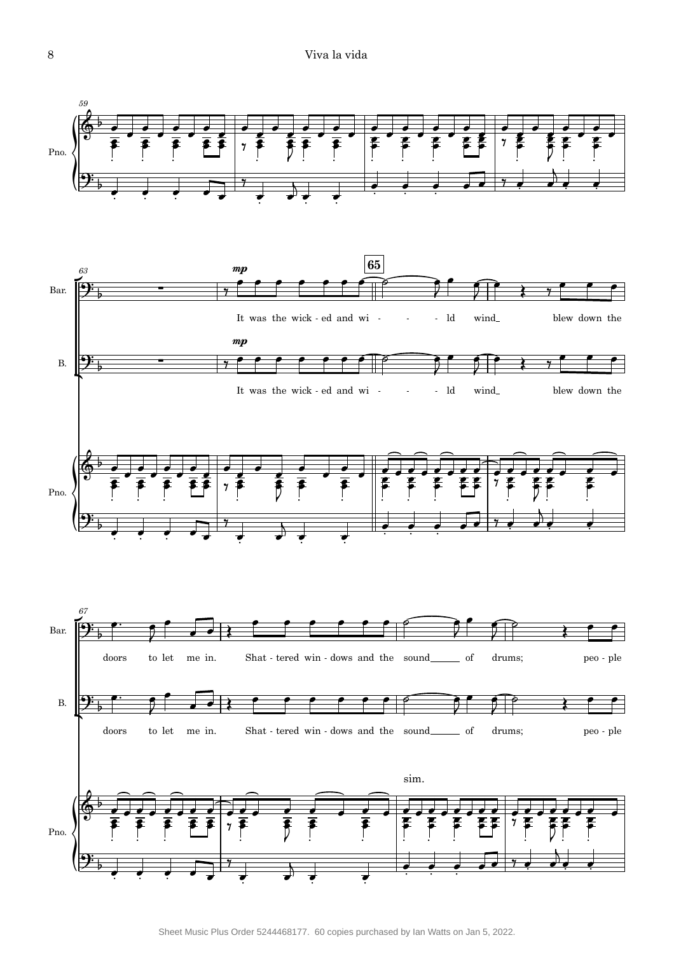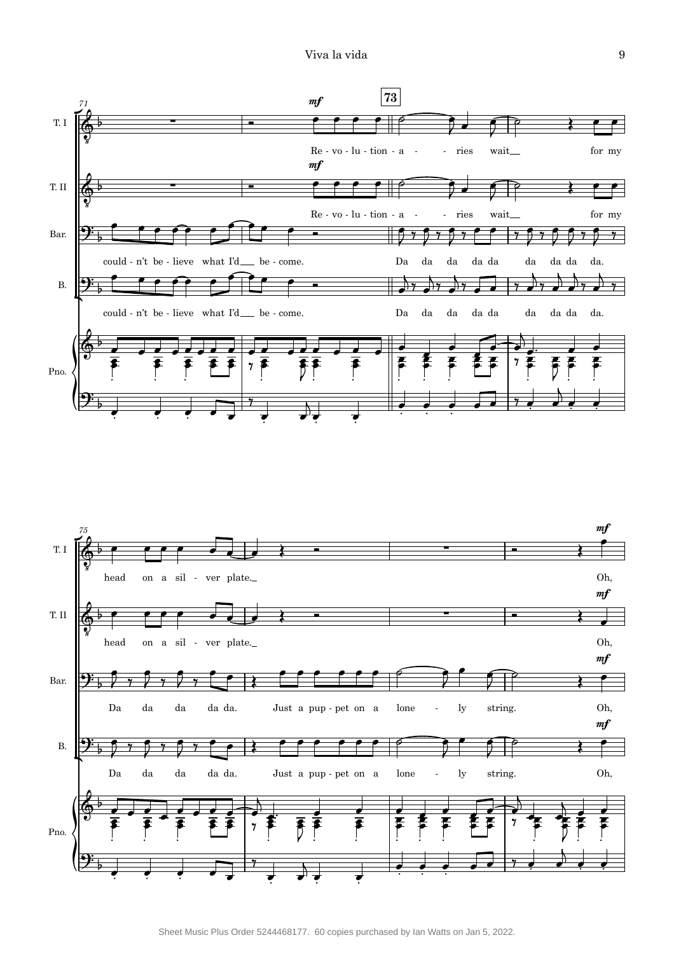

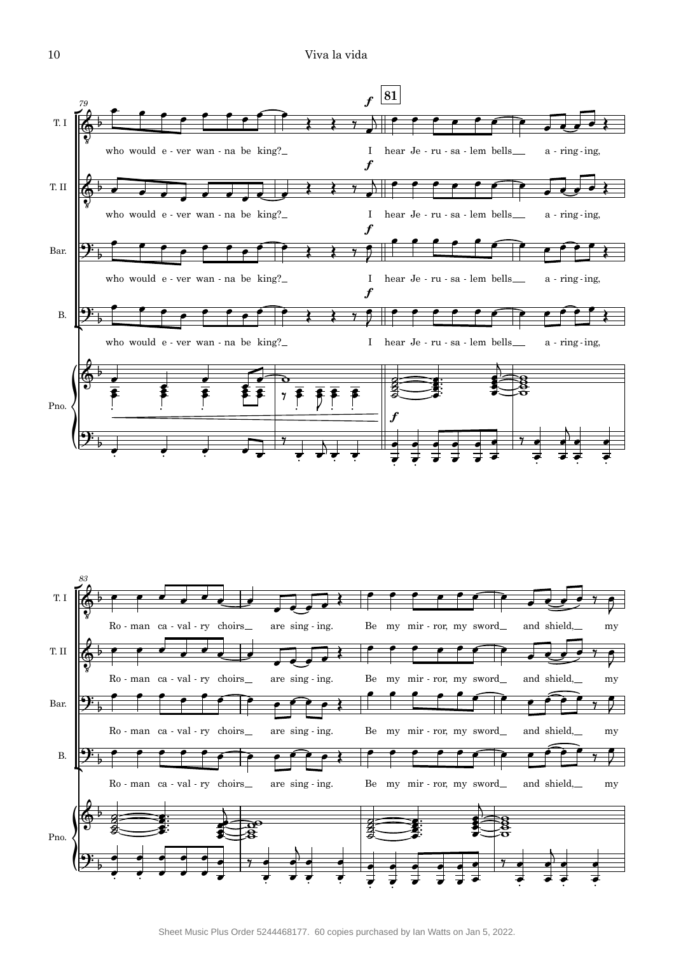

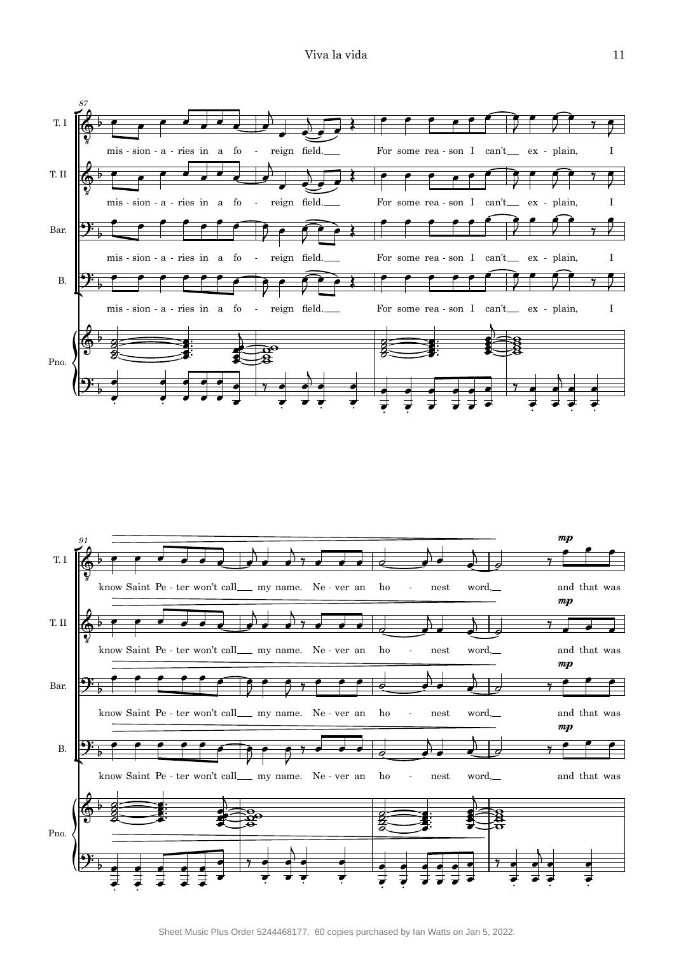



Sheet Music Plus Order 5244468177. 60 copies purchased by Ian Watts on Jan 5, 2022.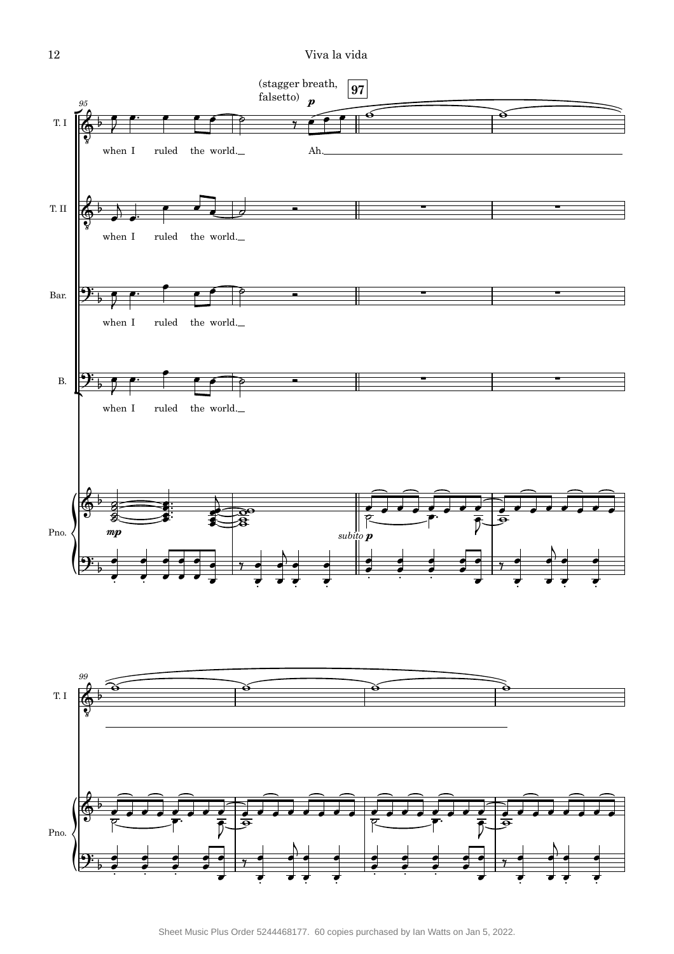

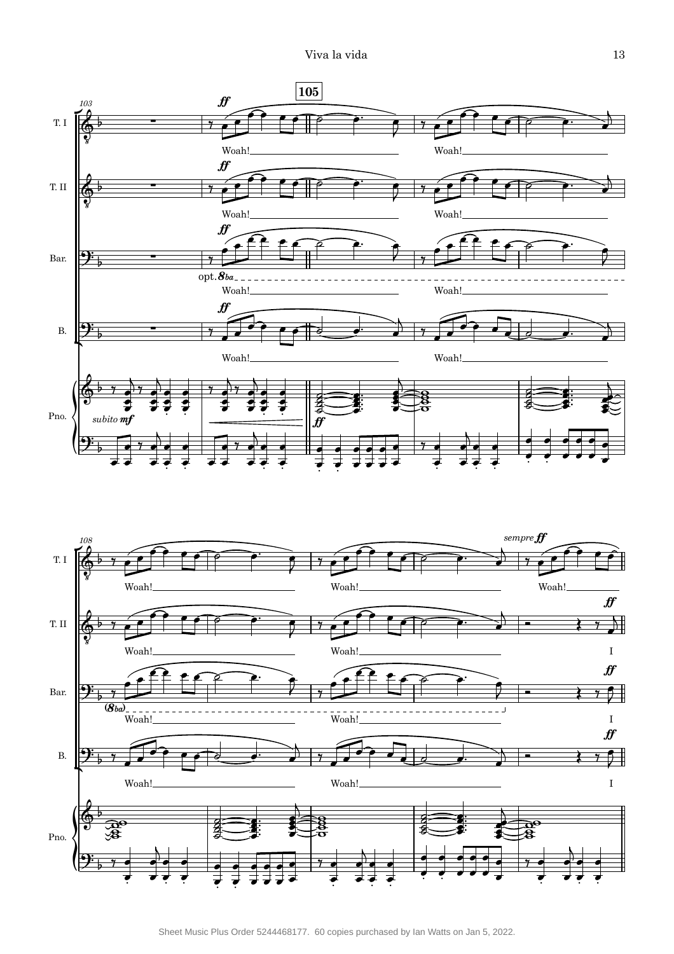

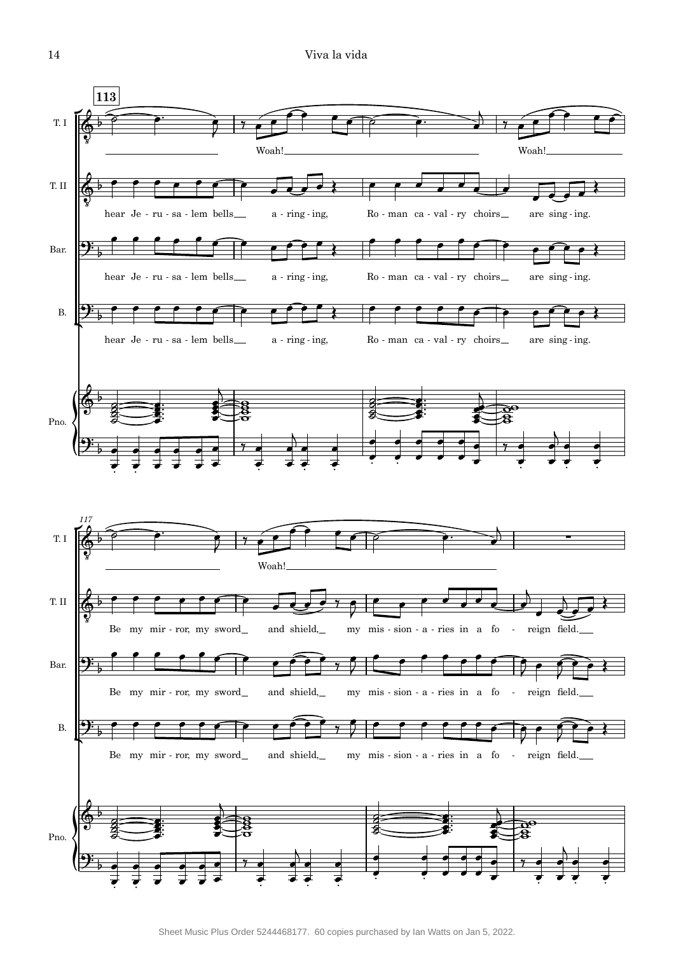